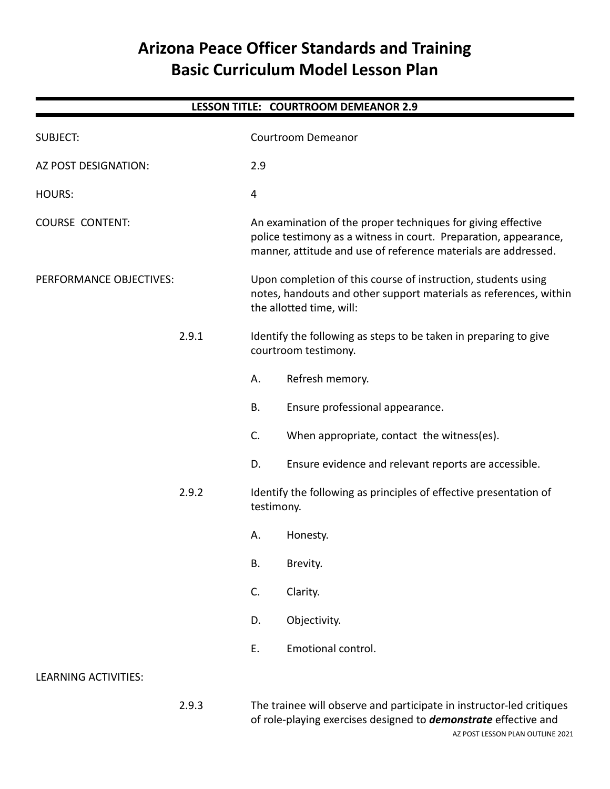# **Arizona Peace Officer Standards and Training Basic Curriculum Model Lesson Plan**

| <b>LESSON TITLE: COURTROOM DEMEANOR 2.9</b> |       |                                                                                                                                                                                                    |                                                                                          |  |  |
|---------------------------------------------|-------|----------------------------------------------------------------------------------------------------------------------------------------------------------------------------------------------------|------------------------------------------------------------------------------------------|--|--|
| <b>SUBJECT:</b>                             |       |                                                                                                                                                                                                    | <b>Courtroom Demeanor</b>                                                                |  |  |
| AZ POST DESIGNATION:                        |       | 2.9                                                                                                                                                                                                |                                                                                          |  |  |
| <b>HOURS:</b>                               |       | 4                                                                                                                                                                                                  |                                                                                          |  |  |
| <b>COURSE CONTENT:</b>                      |       | An examination of the proper techniques for giving effective<br>police testimony as a witness in court. Preparation, appearance,<br>manner, attitude and use of reference materials are addressed. |                                                                                          |  |  |
| PERFORMANCE OBJECTIVES:                     |       | Upon completion of this course of instruction, students using<br>notes, handouts and other support materials as references, within<br>the allotted time, will:                                     |                                                                                          |  |  |
|                                             | 2.9.1 |                                                                                                                                                                                                    | Identify the following as steps to be taken in preparing to give<br>courtroom testimony. |  |  |
|                                             |       | А.                                                                                                                                                                                                 | Refresh memory.                                                                          |  |  |
|                                             |       | В.                                                                                                                                                                                                 | Ensure professional appearance.                                                          |  |  |
|                                             |       | C.                                                                                                                                                                                                 | When appropriate, contact the witness(es).                                               |  |  |
|                                             |       | D.                                                                                                                                                                                                 | Ensure evidence and relevant reports are accessible.                                     |  |  |
|                                             | 2.9.2 | Identify the following as principles of effective presentation of<br>testimony.                                                                                                                    |                                                                                          |  |  |
|                                             |       | А.                                                                                                                                                                                                 | Honesty.                                                                                 |  |  |
|                                             |       | <b>B.</b>                                                                                                                                                                                          | Brevity.                                                                                 |  |  |
|                                             |       | C.                                                                                                                                                                                                 | Clarity.                                                                                 |  |  |
|                                             |       | D.                                                                                                                                                                                                 | Objectivity.                                                                             |  |  |
|                                             |       | Ε.                                                                                                                                                                                                 | Emotional control.                                                                       |  |  |
| <b>LEARNING ACTIVITIES:</b>                 |       |                                                                                                                                                                                                    |                                                                                          |  |  |
|                                             |       |                                                                                                                                                                                                    |                                                                                          |  |  |

2.9.3 The trainee will observe and participate in instructor-led critiques of role-playing exercises designed to *demonstrate* effective and AZ POST LESSON PLAN OUTLINE 2021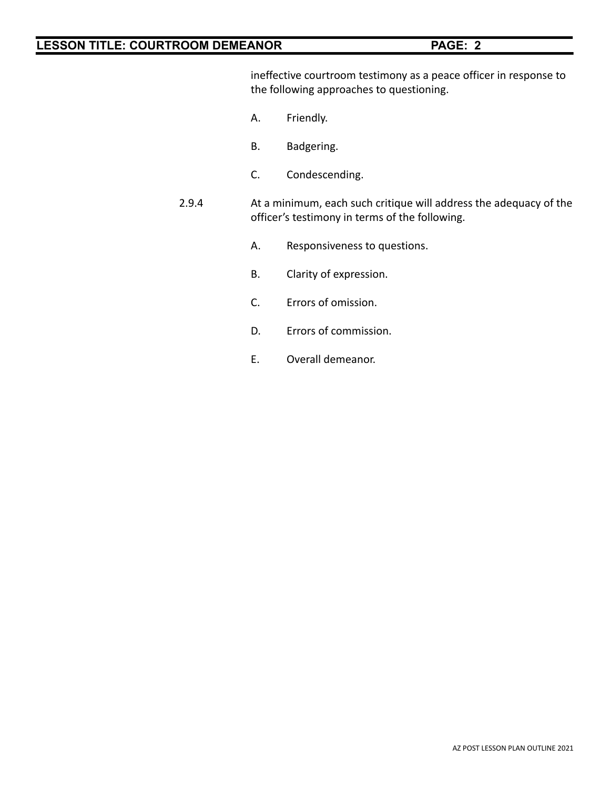ineffective courtroom testimony as a peace officer in response to the following approaches to questioning.

- A. Friendly.
- B. Badgering.
- C. Condescending.
- 2.9.4 At a minimum, each such critique will address the adequacy of the officer's testimony in terms of the following.
	- A. Responsiveness to questions.
	- B. Clarity of expression.
	- C. Errors of omission.
	- D. Errors of commission.
	- E. Overall demeanor.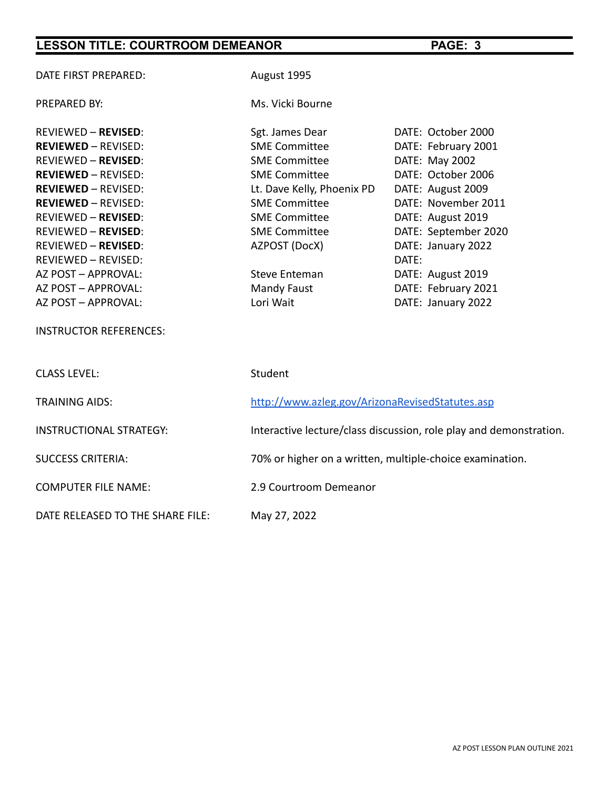| DATE FIRST PREPARED:             | August 1995                                                        |                      |  |
|----------------------------------|--------------------------------------------------------------------|----------------------|--|
| PREPARED BY:                     | Ms. Vicki Bourne                                                   |                      |  |
| <b>REVIEWED - REVISED:</b>       | Sgt. James Dear                                                    | DATE: October 2000   |  |
| <b>REVIEWED - REVISED:</b>       | <b>SME Committee</b>                                               | DATE: February 2001  |  |
| <b>REVIEWED - REVISED:</b>       | <b>SME Committee</b>                                               | DATE: May 2002       |  |
| <b>REVIEWED - REVISED:</b>       | <b>SME Committee</b>                                               | DATE: October 2006   |  |
| <b>REVIEWED - REVISED:</b>       | Lt. Dave Kelly, Phoenix PD                                         | DATE: August 2009    |  |
| <b>REVIEWED - REVISED:</b>       | <b>SME Committee</b>                                               | DATE: November 2011  |  |
| <b>REVIEWED - REVISED:</b>       | <b>SME Committee</b>                                               | DATE: August 2019    |  |
| <b>REVIEWED - REVISED:</b>       | <b>SME Committee</b>                                               | DATE: September 2020 |  |
| <b>REVIEWED - REVISED:</b>       | AZPOST (DocX)                                                      | DATE: January 2022   |  |
| <b>REVIEWED - REVISED:</b>       |                                                                    | DATE:                |  |
| AZ POST - APPROVAL:              | <b>Steve Enteman</b>                                               | DATE: August 2019    |  |
| AZ POST - APPROVAL:              | Mandy Faust                                                        | DATE: February 2021  |  |
| AZ POST - APPROVAL:              | Lori Wait                                                          | DATE: January 2022   |  |
| <b>INSTRUCTOR REFERENCES:</b>    |                                                                    |                      |  |
| <b>CLASS LEVEL:</b>              | Student                                                            |                      |  |
| <b>TRAINING AIDS:</b>            | http://www.azleg.gov/ArizonaRevisedStatutes.asp                    |                      |  |
| <b>INSTRUCTIONAL STRATEGY:</b>   | Interactive lecture/class discussion, role play and demonstration. |                      |  |
| <b>SUCCESS CRITERIA:</b>         | 70% or higher on a written, multiple-choice examination.           |                      |  |
| <b>COMPUTER FILE NAME:</b>       | 2.9 Courtroom Demeanor                                             |                      |  |
| DATE RELEASED TO THE SHARE FILE: | May 27, 2022                                                       |                      |  |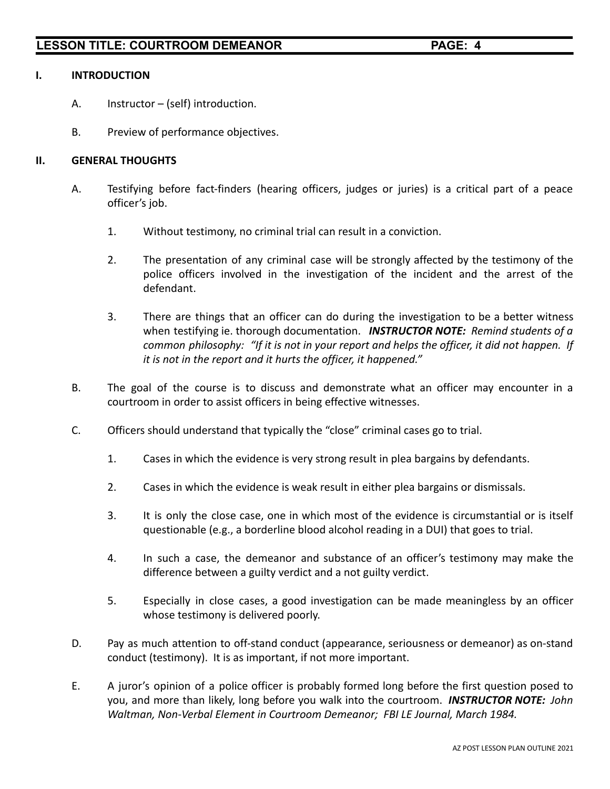### **I. INTRODUCTION**

- A. Instructor (self) introduction.
- B. Preview of performance objectives.

### **II. GENERAL THOUGHTS**

- A. Testifying before fact-finders (hearing officers, judges or juries) is a critical part of a peace officer's job.
	- 1. Without testimony, no criminal trial can result in a conviction.
	- 2. The presentation of any criminal case will be strongly affected by the testimony of the police officers involved in the investigation of the incident and the arrest of the defendant.
	- 3. There are things that an officer can do during the investigation to be a better witness when testifying ie. thorough documentation. *INSTRUCTOR NOTE: Remind students of a common philosophy: "If it is not in your report and helps the officer, it did not happen. If it is not in the report and it hurts the officer, it happened."*
- B. The goal of the course is to discuss and demonstrate what an officer may encounter in a courtroom in order to assist officers in being effective witnesses.
- C. Officers should understand that typically the "close" criminal cases go to trial.
	- 1. Cases in which the evidence is very strong result in plea bargains by defendants.
	- 2. Cases in which the evidence is weak result in either plea bargains or dismissals.
	- 3. It is only the close case, one in which most of the evidence is circumstantial or is itself questionable (e.g., a borderline blood alcohol reading in a DUI) that goes to trial.
	- 4. In such a case, the demeanor and substance of an officer's testimony may make the difference between a guilty verdict and a not guilty verdict.
	- 5. Especially in close cases, a good investigation can be made meaningless by an officer whose testimony is delivered poorly.
- D. Pay as much attention to off-stand conduct (appearance, seriousness or demeanor) as on-stand conduct (testimony). It is as important, if not more important.
- E. A juror's opinion of a police officer is probably formed long before the first question posed to you, and more than likely, long before you walk into the courtroom. *INSTRUCTOR NOTE: John Waltman, Non-Verbal Element in Courtroom Demeanor; FBI LE Journal, March 1984.*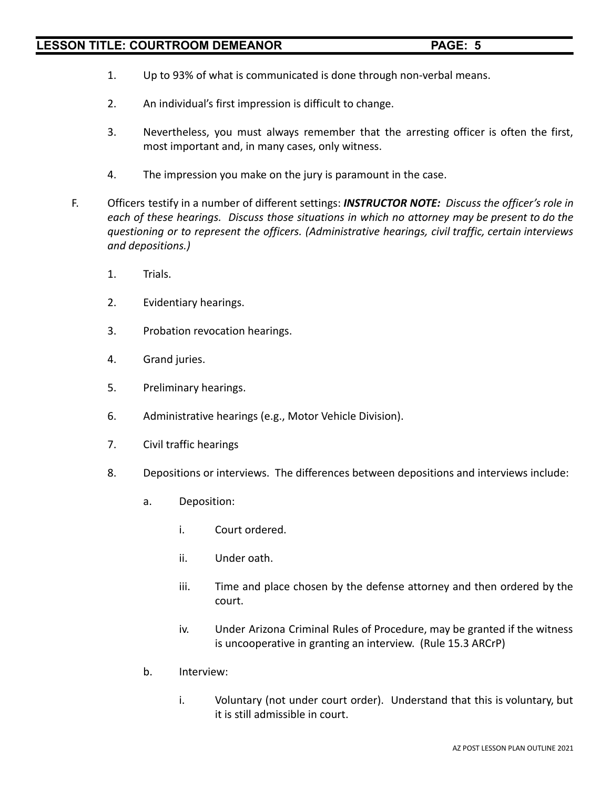- 1. Up to 93% of what is communicated is done through non-verbal means.
- 2. An individual's first impression is difficult to change.
- 3. Nevertheless, you must always remember that the arresting officer is often the first, most important and, in many cases, only witness.
- 4. The impression you make on the jury is paramount in the case.
- F. Officers testify in a number of different settings: *INSTRUCTOR NOTE: Discuss the officer's role in each of these hearings. Discuss those situations in which no attorney may be present to do the questioning or to represent the officers. (Administrative hearings, civil traffic, certain interviews and depositions.)*
	- 1. Trials.
	- 2. Evidentiary hearings.
	- 3. Probation revocation hearings.
	- 4. Grand juries.
	- 5. Preliminary hearings.
	- 6. Administrative hearings (e.g., Motor Vehicle Division).
	- 7. Civil traffic hearings
	- 8. Depositions or interviews. The differences between depositions and interviews include:
		- a. Deposition:
			- i. Court ordered.
			- ii. Under oath.
			- iii. Time and place chosen by the defense attorney and then ordered by the court.
			- iv. Under Arizona Criminal Rules of Procedure, may be granted if the witness is uncooperative in granting an interview. (Rule 15.3 ARCrP)
		- b. Interview:
			- i. Voluntary (not under court order). Understand that this is voluntary, but it is still admissible in court.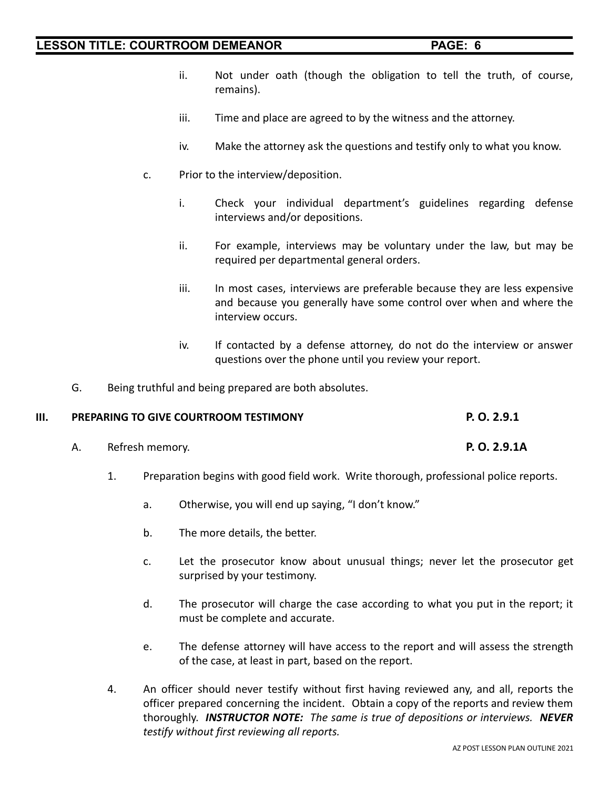- ii. Not under oath (though the obligation to tell the truth, of course, remains).
- iii. Time and place are agreed to by the witness and the attorney.
- iv. Make the attorney ask the questions and testify only to what you know.
- c. Prior to the interview/deposition.
	- i. Check your individual department's guidelines regarding defense interviews and/or depositions.
	- ii. For example, interviews may be voluntary under the law, but may be required per departmental general orders.
	- iii. In most cases, interviews are preferable because they are less expensive and because you generally have some control over when and where the interview occurs.
	- iv. If contacted by a defense attorney, do not do the interview or answer questions over the phone until you review your report.
- G. Being truthful and being prepared are both absolutes.

### **III. PREPARING TO GIVE COURTROOM TESTIMONY P. O. 2.9.1**

- A. Refresh memory. **P. O. 2.9.1A**
	- 1. Preparation begins with good field work. Write thorough, professional police reports.
		- a. Otherwise, you will end up saying, "I don't know."
		- b. The more details, the better.
		- c. Let the prosecutor know about unusual things; never let the prosecutor get surprised by your testimony.
		- d. The prosecutor will charge the case according to what you put in the report; it must be complete and accurate.
		- e. The defense attorney will have access to the report and will assess the strength of the case, at least in part, based on the report.
	- 4. An officer should never testify without first having reviewed any, and all, reports the officer prepared concerning the incident. Obtain a copy of the reports and review them thoroughly. *INSTRUCTOR NOTE: The same is true of depositions or interviews. NEVER testify without first reviewing all reports.*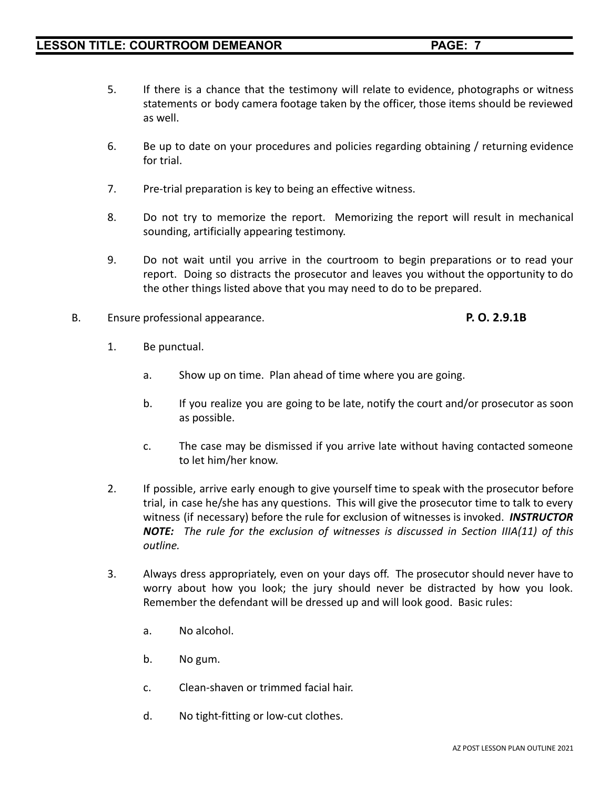- 5. If there is a chance that the testimony will relate to evidence, photographs or witness statements or body camera footage taken by the officer, those items should be reviewed as well.
- 6. Be up to date on your procedures and policies regarding obtaining / returning evidence for trial.
- 7. Pre-trial preparation is key to being an effective witness.
- 8. Do not try to memorize the report. Memorizing the report will result in mechanical sounding, artificially appearing testimony.
- 9. Do not wait until you arrive in the courtroom to begin preparations or to read your report. Doing so distracts the prosecutor and leaves you without the opportunity to do the other things listed above that you may need to do to be prepared.
- B. Ensure professional appearance. **P. O. 2.9.1B**

- 1. Be punctual.
	- a. Show up on time. Plan ahead of time where you are going.
	- b. If you realize you are going to be late, notify the court and/or prosecutor as soon as possible.
	- c. The case may be dismissed if you arrive late without having contacted someone to let him/her know.
- 2. If possible, arrive early enough to give yourself time to speak with the prosecutor before trial, in case he/she has any questions. This will give the prosecutor time to talk to every witness (if necessary) before the rule for exclusion of witnesses is invoked. *INSTRUCTOR NOTE: The rule for the exclusion of witnesses is discussed in Section IIIA(11) of this outline.*
- 3. Always dress appropriately, even on your days off. The prosecutor should never have to worry about how you look; the jury should never be distracted by how you look. Remember the defendant will be dressed up and will look good. Basic rules:
	- a. No alcohol.
	- b. No gum.
	- c. Clean-shaven or trimmed facial hair.
	- d. No tight-fitting or low-cut clothes.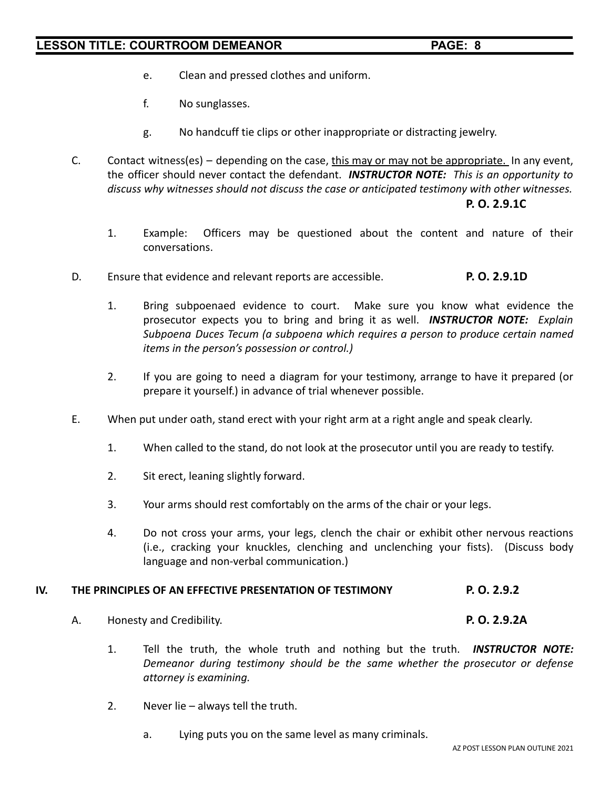- e. Clean and pressed clothes and uniform.
- f. No sunglasses.
- g. No handcuff tie clips or other inappropriate or distracting jewelry.
- C. Contact witness(es) depending on the case, this may or may not be appropriate. In any event, the officer should never contact the defendant. *INSTRUCTOR NOTE: This is an opportunity to discuss why witnesses should not discuss the case or anticipated testimony with other witnesses.* **P. O. 2.9.1C**
	- 1. Example: Officers may be questioned about the content and nature of their conversations.
- D. Ensure that evidence and relevant reports are accessible. **P. O. 2.9.1D**
	- 1. Bring subpoenaed evidence to court. Make sure you know what evidence the prosecutor expects you to bring and bring it as well. *INSTRUCTOR NOTE: Explain Subpoena Duces Tecum (a subpoena which requires a person to produce certain named items in the person's possession or control.)*
	- 2. If you are going to need a diagram for your testimony, arrange to have it prepared (or prepare it yourself.) in advance of trial whenever possible.
- E. When put under oath, stand erect with your right arm at a right angle and speak clearly.
	- 1. When called to the stand, do not look at the prosecutor until you are ready to testify.
	- 2. Sit erect, leaning slightly forward.
	- 3. Your arms should rest comfortably on the arms of the chair or your legs.
	- 4. Do not cross your arms, your legs, clench the chair or exhibit other nervous reactions (i.e., cracking your knuckles, clenching and unclenching your fists). (Discuss body language and non-verbal communication.)

### **IV. THE PRINCIPLES OF AN EFFECTIVE PRESENTATION OF TESTIMONY P. O. 2.9.2**

- A. Honesty and Credibility. **P. O. 2.9.2A**
	- 1. Tell the truth, the whole truth and nothing but the truth. *INSTRUCTOR NOTE: Demeanor during testimony should be the same whether the prosecutor or defense attorney is examining.*
	- 2. Never lie always tell the truth.
		- a. Lying puts you on the same level as many criminals.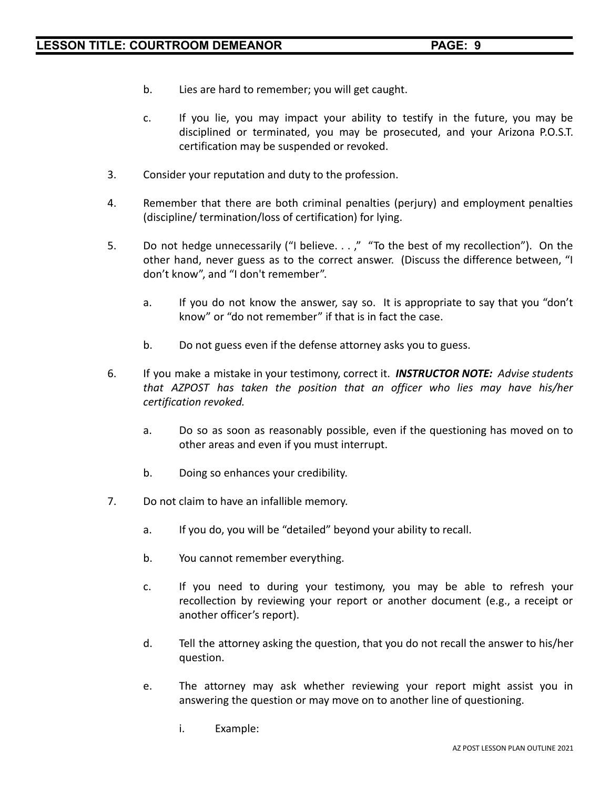- b. Lies are hard to remember; you will get caught.
- c. If you lie, you may impact your ability to testify in the future, you may be disciplined or terminated, you may be prosecuted, and your Arizona P.O.S.T. certification may be suspended or revoked.
- 3. Consider your reputation and duty to the profession.
- 4. Remember that there are both criminal penalties (perjury) and employment penalties (discipline/ termination/loss of certification) for lying.
- 5. Do not hedge unnecessarily ("I believe. . . ," "To the best of my recollection"). On the other hand, never guess as to the correct answer. (Discuss the difference between, "I don't know", and "I don't remember".
	- a. If you do not know the answer, say so. It is appropriate to say that you "don't know" or "do not remember" if that is in fact the case.
	- b. Do not guess even if the defense attorney asks you to guess.
- 6. If you make a mistake in your testimony, correct it. *INSTRUCTOR NOTE: Advise students that AZPOST has taken the position that an officer who lies may have his/her certification revoked.*
	- a. Do so as soon as reasonably possible, even if the questioning has moved on to other areas and even if you must interrupt.
	- b. Doing so enhances your credibility.
- 7. Do not claim to have an infallible memory.
	- a. If you do, you will be "detailed" beyond your ability to recall.
	- b. You cannot remember everything.
	- c. If you need to during your testimony, you may be able to refresh your recollection by reviewing your report or another document (e.g., a receipt or another officer's report).
	- d. Tell the attorney asking the question, that you do not recall the answer to his/her question.
	- e. The attorney may ask whether reviewing your report might assist you in answering the question or may move on to another line of questioning.
		- i. Example: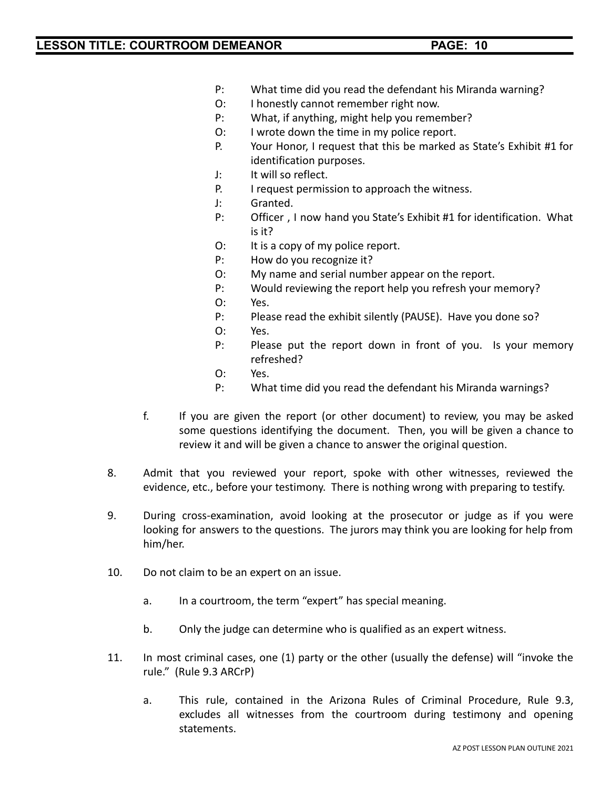- P: What time did you read the defendant his Miranda warning?
- O: I honestly cannot remember right now.
- P: What, if anything, might help you remember?
- O: I wrote down the time in my police report.
- P. Your Honor, I request that this be marked as State's Exhibit #1 for identification purposes.
- J: It will so reflect.
- P. I request permission to approach the witness.
- J: Granted.
- P: Officer , I now hand you State's Exhibit #1 for identification. What is it?
- O: It is a copy of my police report.
- P: How do you recognize it?
- O: My name and serial number appear on the report.
- P: Would reviewing the report help you refresh your memory?
- O: Yes.
- P: Please read the exhibit silently (PAUSE). Have you done so?
- O: Yes.
- P: Please put the report down in front of you. Is your memory refreshed?
- O: Yes.
- P: What time did you read the defendant his Miranda warnings?
- f. If you are given the report (or other document) to review, you may be asked some questions identifying the document. Then, you will be given a chance to review it and will be given a chance to answer the original question.
- 8. Admit that you reviewed your report, spoke with other witnesses, reviewed the evidence, etc., before your testimony. There is nothing wrong with preparing to testify.
- 9. During cross-examination, avoid looking at the prosecutor or judge as if you were looking for answers to the questions. The jurors may think you are looking for help from him/her.
- 10. Do not claim to be an expert on an issue.
	- a. In a courtroom, the term "expert" has special meaning.
	- b. Only the judge can determine who is qualified as an expert witness.
- 11. In most criminal cases, one (1) party or the other (usually the defense) will "invoke the rule." (Rule 9.3 ARCrP)
	- a. This rule, contained in the Arizona Rules of Criminal Procedure, Rule 9.3, excludes all witnesses from the courtroom during testimony and opening statements.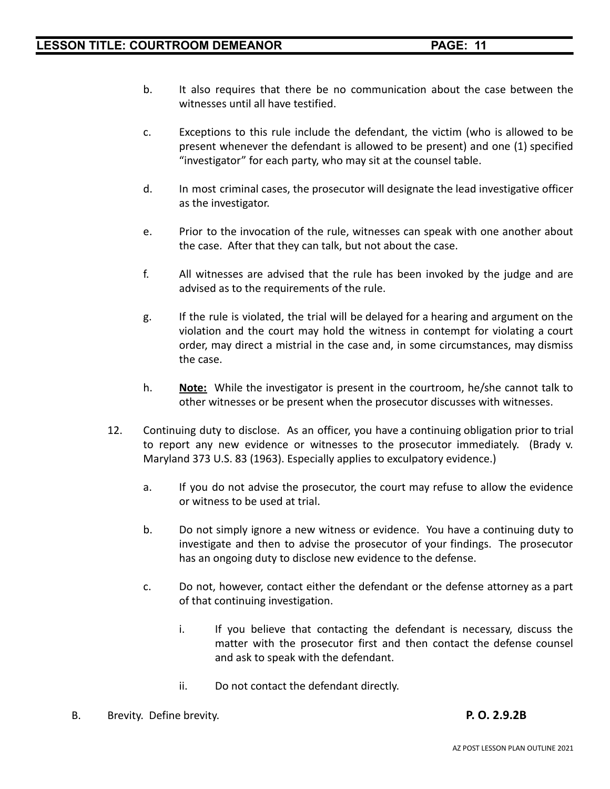- b. It also requires that there be no communication about the case between the witnesses until all have testified.
- c. Exceptions to this rule include the defendant, the victim (who is allowed to be present whenever the defendant is allowed to be present) and one (1) specified "investigator" for each party, who may sit at the counsel table.
- d. In most criminal cases, the prosecutor will designate the lead investigative officer as the investigator.
- e. Prior to the invocation of the rule, witnesses can speak with one another about the case. After that they can talk, but not about the case.
- f. All witnesses are advised that the rule has been invoked by the judge and are advised as to the requirements of the rule.
- g. If the rule is violated, the trial will be delayed for a hearing and argument on the violation and the court may hold the witness in contempt for violating a court order, may direct a mistrial in the case and, in some circumstances, may dismiss the case.
- h. **Note:** While the investigator is present in the courtroom, he/she cannot talk to other witnesses or be present when the prosecutor discusses with witnesses.
- 12. Continuing duty to disclose. As an officer, you have a continuing obligation prior to trial to report any new evidence or witnesses to the prosecutor immediately. (Brady v. Maryland 373 U.S. 83 (1963). Especially applies to exculpatory evidence.)
	- a. If you do not advise the prosecutor, the court may refuse to allow the evidence or witness to be used at trial.
	- b. Do not simply ignore a new witness or evidence. You have a continuing duty to investigate and then to advise the prosecutor of your findings. The prosecutor has an ongoing duty to disclose new evidence to the defense.
	- c. Do not, however, contact either the defendant or the defense attorney as a part of that continuing investigation.
		- i. If you believe that contacting the defendant is necessary, discuss the matter with the prosecutor first and then contact the defense counsel and ask to speak with the defendant.
		- ii. Do not contact the defendant directly.
- B. Brevity. Define brevity. **P. O. 2.9.2B**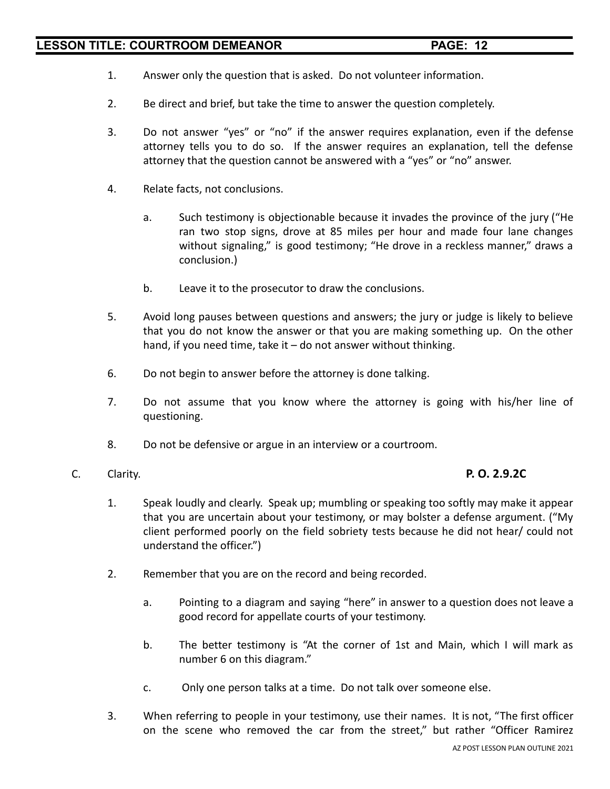- 1. Answer only the question that is asked. Do not volunteer information.
- 2. Be direct and brief, but take the time to answer the question completely.
- 3. Do not answer "yes" or "no" if the answer requires explanation, even if the defense attorney tells you to do so. If the answer requires an explanation, tell the defense attorney that the question cannot be answered with a "yes" or "no" answer.
- 4. Relate facts, not conclusions.
	- a. Such testimony is objectionable because it invades the province of the jury ("He ran two stop signs, drove at 85 miles per hour and made four lane changes without signaling," is good testimony; "He drove in a reckless manner," draws a conclusion.)
	- b. Leave it to the prosecutor to draw the conclusions.
- 5. Avoid long pauses between questions and answers; the jury or judge is likely to believe that you do not know the answer or that you are making something up. On the other hand, if you need time, take it - do not answer without thinking.
- 6. Do not begin to answer before the attorney is done talking.
- 7. Do not assume that you know where the attorney is going with his/her line of questioning.
- 8. Do not be defensive or argue in an interview or a courtroom.
- C. Clarity. **P. O. 2.9.2C**

- 1. Speak loudly and clearly. Speak up; mumbling or speaking too softly may make it appear that you are uncertain about your testimony, or may bolster a defense argument. ("My client performed poorly on the field sobriety tests because he did not hear/ could not understand the officer.")
- 2. Remember that you are on the record and being recorded.
	- a. Pointing to a diagram and saying "here" in answer to a question does not leave a good record for appellate courts of your testimony.
	- b. The better testimony is "At the corner of 1st and Main, which I will mark as number 6 on this diagram."
	- c. Only one person talks at a time. Do not talk over someone else.
- 3. When referring to people in your testimony, use their names. It is not, "The first officer on the scene who removed the car from the street," but rather "Officer Ramirez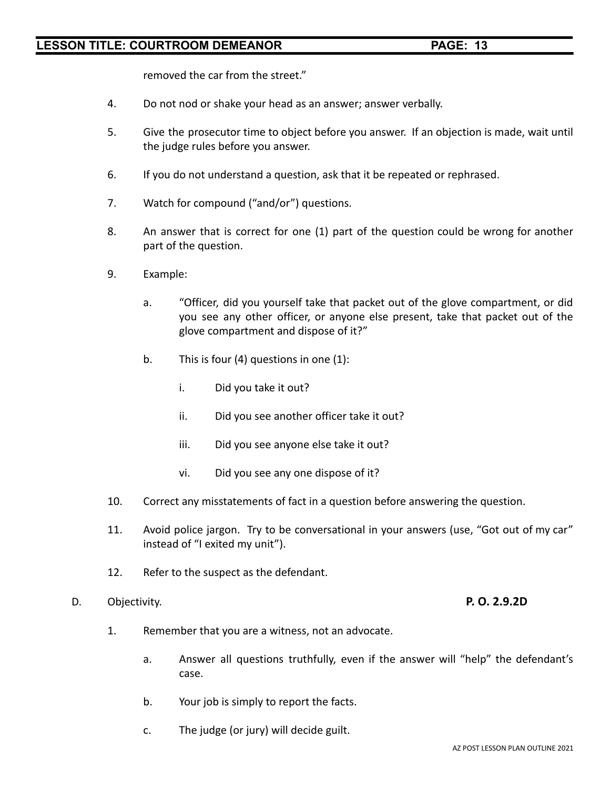removed the car from the street."

- 4. Do not nod or shake your head as an answer; answer verbally.
- 5. Give the prosecutor time to object before you answer. If an objection is made, wait until the judge rules before you answer.
- 6. If you do not understand a question, ask that it be repeated or rephrased.
- 7. Watch for compound ("and/or") questions.
- 8. An answer that is correct for one (1) part of the question could be wrong for another part of the question.
- 9. Example:
	- a. "Officer, did you yourself take that packet out of the glove compartment, or did you see any other officer, or anyone else present, take that packet out of the glove compartment and dispose of it?"
	- b. This is four (4) questions in one (1):
		- i. Did you take it out?
		- ii. Did you see another officer take it out?
		- iii. Did you see anyone else take it out?
		- vi. Did you see any one dispose of it?
- 10. Correct any misstatements of fact in a question before answering the question.
- 11. Avoid police jargon. Try to be conversational in your answers (use, "Got out of my car" instead of "I exited my unit").
- 12. Refer to the suspect as the defendant.
- D. Objectivity. **P. O. 2.9.2D**

- 1. Remember that you are a witness, not an advocate.
	- a. Answer all questions truthfully, even if the answer will "help" the defendant's case.
	- b. Your job is simply to report the facts.
	- c. The judge (or jury) will decide guilt.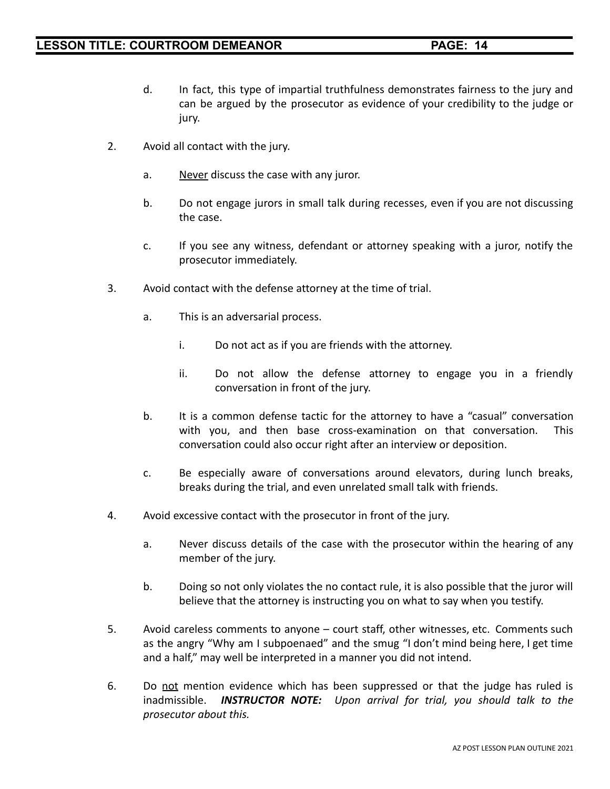- d. In fact, this type of impartial truthfulness demonstrates fairness to the jury and can be argued by the prosecutor as evidence of your credibility to the judge or jury.
- 2. Avoid all contact with the jury.
	- a. Never discuss the case with any juror.
	- b. Do not engage jurors in small talk during recesses, even if you are not discussing the case.
	- c. If you see any witness, defendant or attorney speaking with a juror, notify the prosecutor immediately.
- 3. Avoid contact with the defense attorney at the time of trial.
	- a. This is an adversarial process.
		- i. Do not act as if you are friends with the attorney.
		- ii. Do not allow the defense attorney to engage you in a friendly conversation in front of the jury.
	- b. It is a common defense tactic for the attorney to have a "casual" conversation with you, and then base cross-examination on that conversation. This conversation could also occur right after an interview or deposition.
	- c. Be especially aware of conversations around elevators, during lunch breaks, breaks during the trial, and even unrelated small talk with friends.
- 4. Avoid excessive contact with the prosecutor in front of the jury.
	- a. Never discuss details of the case with the prosecutor within the hearing of any member of the jury.
	- b. Doing so not only violates the no contact rule, it is also possible that the juror will believe that the attorney is instructing you on what to say when you testify.
- 5. Avoid careless comments to anyone court staff, other witnesses, etc. Comments such as the angry "Why am I subpoenaed" and the smug "I don't mind being here, I get time and a half," may well be interpreted in a manner you did not intend.
- 6. Do not mention evidence which has been suppressed or that the judge has ruled is inadmissible. *INSTRUCTOR NOTE: Upon arrival for trial, you should talk to the prosecutor about this.*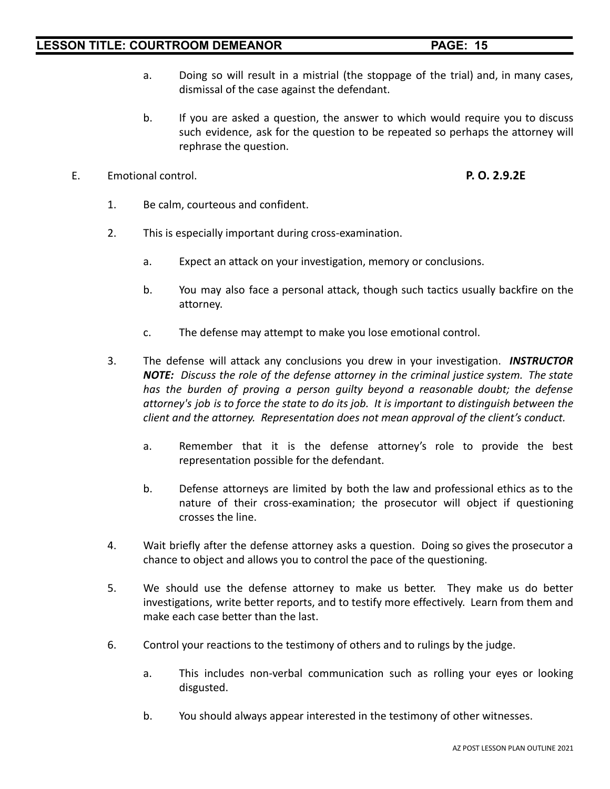- a. Doing so will result in a mistrial (the stoppage of the trial) and, in many cases, dismissal of the case against the defendant.
- b. If you are asked a question, the answer to which would require you to discuss such evidence, ask for the question to be repeated so perhaps the attorney will rephrase the question.
- E. Emotional control. **P. O. 2.9.2E**
	- 1. Be calm, courteous and confident.
	- 2. This is especially important during cross-examination.
		- a. Expect an attack on your investigation, memory or conclusions.
		- b. You may also face a personal attack, though such tactics usually backfire on the attorney.
		- c. The defense may attempt to make you lose emotional control.
	- 3. The defense will attack any conclusions you drew in your investigation. *INSTRUCTOR NOTE: Discuss the role of the defense attorney in the criminal justice system. The state has the burden of proving a person guilty beyond a reasonable doubt; the defense attorney's job is to force the state to do its job. It is important to distinguish between the client and the attorney. Representation does not mean approval of the client's conduct.*
		- a. Remember that it is the defense attorney's role to provide the best representation possible for the defendant.
		- b. Defense attorneys are limited by both the law and professional ethics as to the nature of their cross-examination; the prosecutor will object if questioning crosses the line.
	- 4. Wait briefly after the defense attorney asks a question. Doing so gives the prosecutor a chance to object and allows you to control the pace of the questioning.
	- 5. We should use the defense attorney to make us better. They make us do better investigations, write better reports, and to testify more effectively. Learn from them and make each case better than the last.
	- 6. Control your reactions to the testimony of others and to rulings by the judge.
		- a. This includes non-verbal communication such as rolling your eyes or looking disgusted.
		- b. You should always appear interested in the testimony of other witnesses.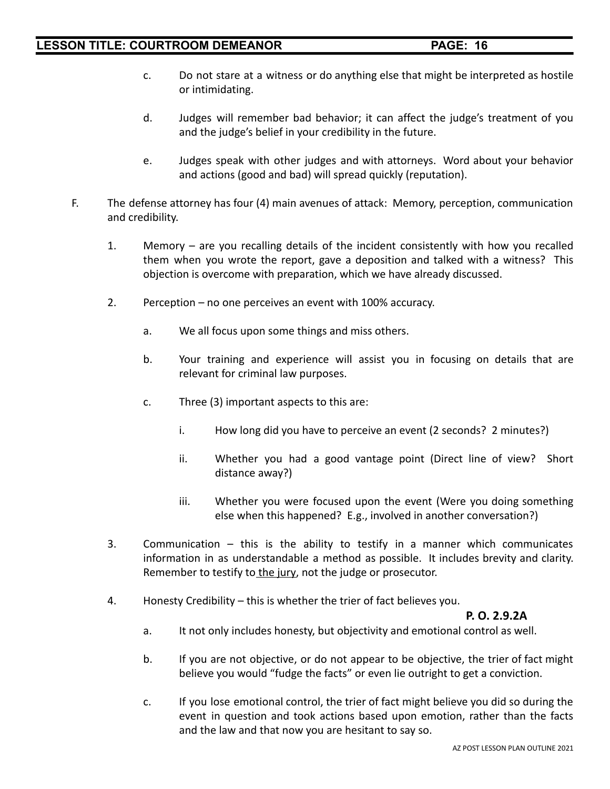- c. Do not stare at a witness or do anything else that might be interpreted as hostile or intimidating.
- d. Judges will remember bad behavior; it can affect the judge's treatment of you and the judge's belief in your credibility in the future.
- e. Judges speak with other judges and with attorneys. Word about your behavior and actions (good and bad) will spread quickly (reputation).
- F. The defense attorney has four (4) main avenues of attack: Memory, perception, communication and credibility.
	- 1. Memory are you recalling details of the incident consistently with how you recalled them when you wrote the report, gave a deposition and talked with a witness? This objection is overcome with preparation, which we have already discussed.
	- 2. Perception no one perceives an event with 100% accuracy.
		- a. We all focus upon some things and miss others.
		- b. Your training and experience will assist you in focusing on details that are relevant for criminal law purposes.
		- c. Three (3) important aspects to this are:
			- i. How long did you have to perceive an event (2 seconds? 2 minutes?)
			- ii. Whether you had a good vantage point (Direct line of view? Short distance away?)
			- iii. Whether you were focused upon the event (Were you doing something else when this happened? E.g., involved in another conversation?)
	- 3. Communication this is the ability to testify in a manner which communicates information in as understandable a method as possible. It includes brevity and clarity. Remember to testify to the jury, not the judge or prosecutor.
	- 4. Honesty Credibility this is whether the trier of fact believes you.

### **P. O. 2.9.2A**

- a. It not only includes honesty, but objectivity and emotional control as well.
- b. If you are not objective, or do not appear to be objective, the trier of fact might believe you would "fudge the facts" or even lie outright to get a conviction.
- c. If you lose emotional control, the trier of fact might believe you did so during the event in question and took actions based upon emotion, rather than the facts and the law and that now you are hesitant to say so.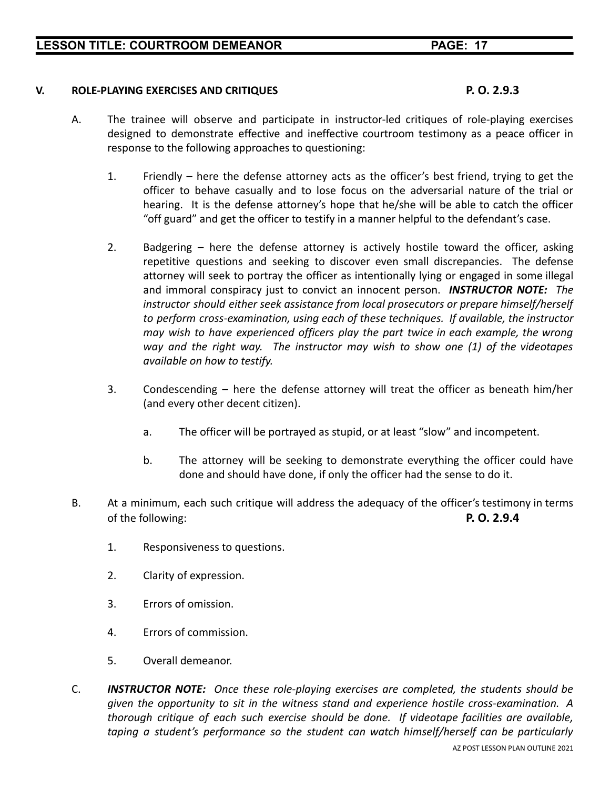### **V. ROLE-PLAYING EXERCISES AND CRITIQUES P. O. 2.9.3**

- A. The trainee will observe and participate in instructor-led critiques of role-playing exercises designed to demonstrate effective and ineffective courtroom testimony as a peace officer in response to the following approaches to questioning:
	- 1. Friendly here the defense attorney acts as the officer's best friend, trying to get the officer to behave casually and to lose focus on the adversarial nature of the trial or hearing. It is the defense attorney's hope that he/she will be able to catch the officer "off guard" and get the officer to testify in a manner helpful to the defendant's case.
	- 2. Badgering here the defense attorney is actively hostile toward the officer, asking repetitive questions and seeking to discover even small discrepancies. The defense attorney will seek to portray the officer as intentionally lying or engaged in some illegal and immoral conspiracy just to convict an innocent person. *INSTRUCTOR NOTE: The instructor should either seek assistance from local prosecutors or prepare himself/herself to perform cross-examination, using each of these techniques. If available, the instructor may wish to have experienced officers play the part twice in each example, the wrong way and the right way. The instructor may wish to show one (1) of the videotapes available on how to testify.*
	- 3. Condescending here the defense attorney will treat the officer as beneath him/her (and every other decent citizen).
		- a. The officer will be portrayed as stupid, or at least "slow" and incompetent.
		- b. The attorney will be seeking to demonstrate everything the officer could have done and should have done, if only the officer had the sense to do it.
- B. At a minimum, each such critique will address the adequacy of the officer's testimony in terms of the following: **P. O. 2.9.4**
	- 1. Responsiveness to questions.
	- 2. Clarity of expression.
	- 3. Errors of omission.
	- 4. Errors of commission.
	- 5. Overall demeanor.
- C. *INSTRUCTOR NOTE: Once these role-playing exercises are completed, the students should be given the opportunity to sit in the witness stand and experience hostile cross-examination. A thorough critique of each such exercise should be done. If videotape facilities are available, taping a student's performance so the student can watch himself/herself can be particularly*